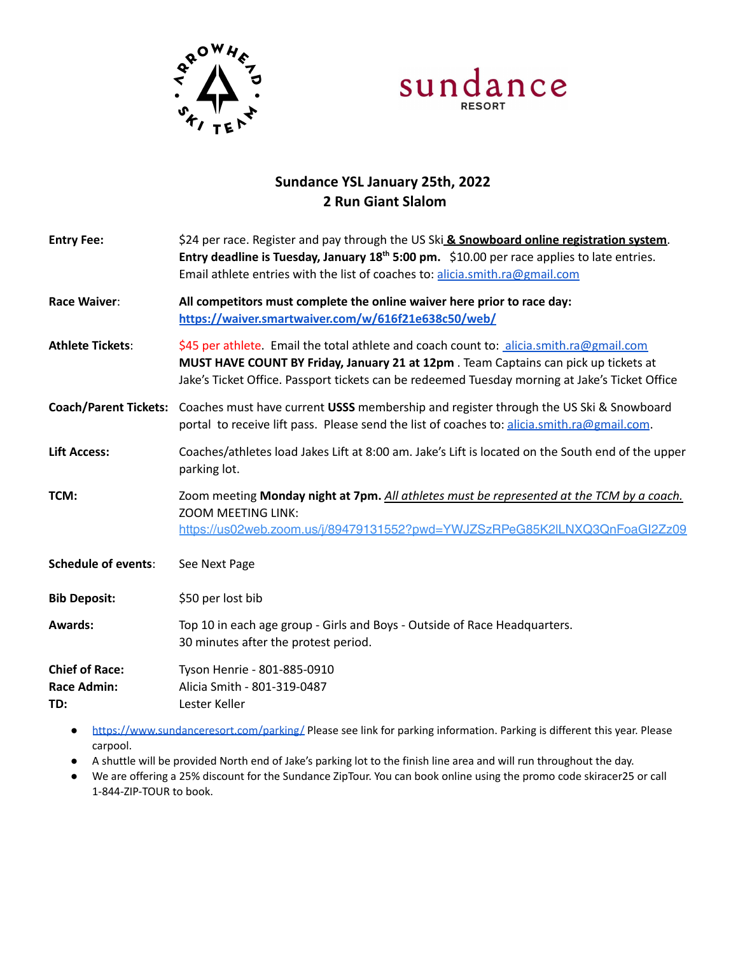



## **Sundance YSL January 25th, 2022 2 Run Giant Slalom**

| <b>Entry Fee:</b>                                  | \$24 per race. Register and pay through the US Ski & Snowboard online registration system.<br>Entry deadline is Tuesday, January 18 <sup>th</sup> 5:00 pm. \$10.00 per race applies to late entries.<br>Email athlete entries with the list of coaches to: alicia.smith.ra@gmail.com |
|----------------------------------------------------|--------------------------------------------------------------------------------------------------------------------------------------------------------------------------------------------------------------------------------------------------------------------------------------|
| Race Waiver:                                       | All competitors must complete the online waiver here prior to race day:<br>https://waiver.smartwaiver.com/w/616f21e638c50/web/                                                                                                                                                       |
| <b>Athlete Tickets:</b>                            | \$45 per athlete. Email the total athlete and coach count to: alicia.smith.ra@gmail.com<br>MUST HAVE COUNT BY Friday, January 21 at 12pm. Team Captains can pick up tickets at<br>Jake's Ticket Office. Passport tickets can be redeemed Tuesday morning at Jake's Ticket Office     |
|                                                    | Coach/Parent Tickets: Coaches must have current USSS membership and register through the US Ski & Snowboard<br>portal to receive lift pass. Please send the list of coaches to: alicia.smith.ra@gmail.com.                                                                           |
| <b>Lift Access:</b>                                | Coaches/athletes load Jakes Lift at 8:00 am. Jake's Lift is located on the South end of the upper<br>parking lot.                                                                                                                                                                    |
| TCM:                                               | Zoom meeting Monday night at 7pm. All athletes must be represented at the TCM by a coach.<br><b>ZOOM MEETING LINK:</b><br>https://us02web.zoom.us/i/89479131552?pwd=YWJZSzRPeG85K2ILNXQ3QnFoaGI2Zz09                                                                                 |
| <b>Schedule of events:</b>                         | See Next Page                                                                                                                                                                                                                                                                        |
| <b>Bib Deposit:</b>                                | \$50 per lost bib                                                                                                                                                                                                                                                                    |
| <b>Awards:</b>                                     | Top 10 in each age group - Girls and Boys - Outside of Race Headquarters.<br>30 minutes after the protest period.                                                                                                                                                                    |
| <b>Chief of Race:</b><br><b>Race Admin:</b><br>TD: | Tyson Henrie - 801-885-0910<br>Alicia Smith - 801-319-0487<br>Lester Keller                                                                                                                                                                                                          |
|                                                    |                                                                                                                                                                                                                                                                                      |

- <https://www.sundanceresort.com/parking/> Please see link for parking information. Parking is different this year. Please carpool.
- A shuttle will be provided North end of Jake's parking lot to the finish line area and will run throughout the day.
- We are offering a 25% discount for the Sundance ZipTour. You can book online using the promo code skiracer25 or call 1-844-ZIP-TOUR to book.